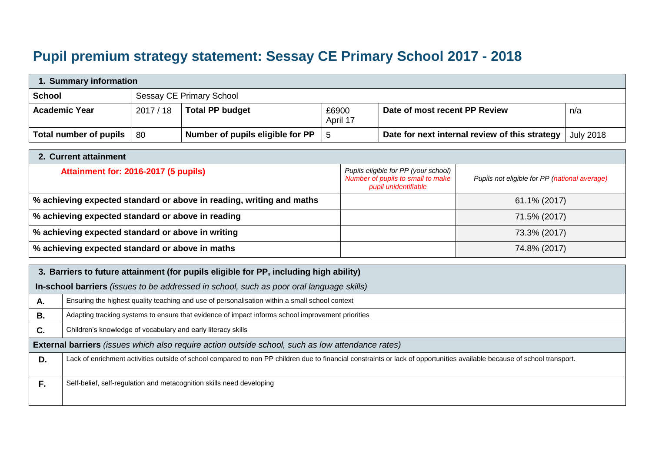## **Pupil premium strategy statement: Sessay CE Primary School 2017 - 2018**

| 1. Summary information |         |                                  |                   |                                                |                  |  |
|------------------------|---------|----------------------------------|-------------------|------------------------------------------------|------------------|--|
| <b>School</b>          |         | Sessay CE Primary School         |                   |                                                |                  |  |
| <b>Academic Year</b>   | 2017/18 | <b>Total PP budget</b>           | £6900<br>April 17 | Date of most recent PP Review                  | n/a              |  |
| Total number of pupils | -80     | Number of pupils eligible for PP | .5                | Date for next internal review of this strategy | <b>July 2018</b> |  |

| 2. Current attainment                                                |                                                                                                   |                                               |  |  |  |
|----------------------------------------------------------------------|---------------------------------------------------------------------------------------------------|-----------------------------------------------|--|--|--|
| Attainment for: 2016-2017 (5 pupils)                                 | Pupils eligible for PP (your school)<br>Number of pupils to small to make<br>pupil unidentifiable | Pupils not eligible for PP (national average) |  |  |  |
| % achieving expected standard or above in reading, writing and maths |                                                                                                   | 61.1% (2017)                                  |  |  |  |
| % achieving expected standard or above in reading                    |                                                                                                   | 71.5% (2017)                                  |  |  |  |
| % achieving expected standard or above in writing                    |                                                                                                   | 73.3% (2017)                                  |  |  |  |
| % achieving expected standard or above in maths                      |                                                                                                   | 74.8% (2017)                                  |  |  |  |

|    | 3. Barriers to future attainment (for pupils eligible for PP, including high ability)                                                                                    |  |  |  |  |
|----|--------------------------------------------------------------------------------------------------------------------------------------------------------------------------|--|--|--|--|
|    | In-school barriers (issues to be addressed in school, such as poor oral language skills)                                                                                 |  |  |  |  |
| А. | Ensuring the highest quality teaching and use of personalisation within a small school context                                                                           |  |  |  |  |
| В. | Adapting tracking systems to ensure that evidence of impact informs school improvement priorities                                                                        |  |  |  |  |
| C. | Children's knowledge of vocabulary and early literacy skills                                                                                                             |  |  |  |  |
|    | <b>External barriers</b> (issues which also require action outside school, such as low attendance rates)                                                                 |  |  |  |  |
| D. | Lack of enrichment activities outside of school compared to non PP children due to financial constraints or lack of opportunities available because of school transport. |  |  |  |  |
|    |                                                                                                                                                                          |  |  |  |  |
| F. | Self-belief, self-regulation and metacognition skills need developing                                                                                                    |  |  |  |  |
|    |                                                                                                                                                                          |  |  |  |  |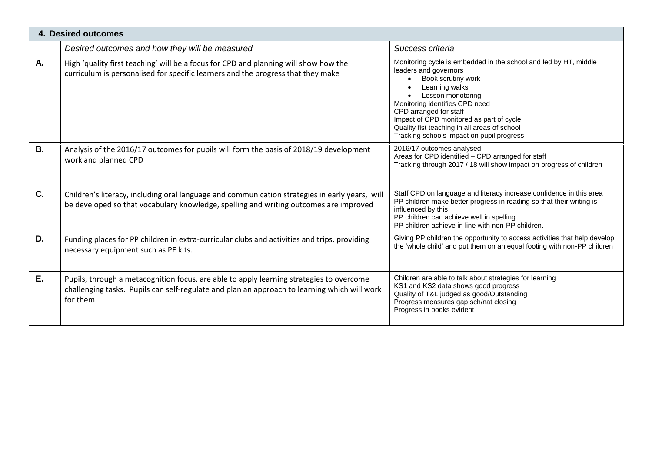| <b>4. Desired outcomes</b> |                                                                                                                                                                                                       |                                                                                                                                                                                                                                                                                                                                                             |  |  |  |
|----------------------------|-------------------------------------------------------------------------------------------------------------------------------------------------------------------------------------------------------|-------------------------------------------------------------------------------------------------------------------------------------------------------------------------------------------------------------------------------------------------------------------------------------------------------------------------------------------------------------|--|--|--|
|                            | Desired outcomes and how they will be measured                                                                                                                                                        | Success criteria                                                                                                                                                                                                                                                                                                                                            |  |  |  |
| A.                         | High 'quality first teaching' will be a focus for CPD and planning will show how the<br>curriculum is personalised for specific learners and the progress that they make                              | Monitoring cycle is embedded in the school and led by HT, middle<br>leaders and governors<br>Book scrutiny work<br>Learning walks<br>Lesson monotoring<br>Monitoring identifies CPD need<br>CPD arranged for staff<br>Impact of CPD monitored as part of cycle<br>Quality fist teaching in all areas of school<br>Tracking schools impact on pupil progress |  |  |  |
| <b>B.</b>                  | Analysis of the 2016/17 outcomes for pupils will form the basis of 2018/19 development<br>work and planned CPD                                                                                        | 2016/17 outcomes analysed<br>Areas for CPD identified - CPD arranged for staff<br>Tracking through 2017 / 18 will show impact on progress of children                                                                                                                                                                                                       |  |  |  |
| C.                         | Children's literacy, including oral language and communication strategies in early years, will<br>be developed so that vocabulary knowledge, spelling and writing outcomes are improved               | Staff CPD on language and literacy increase confidence in this area<br>PP children make better progress in reading so that their writing is<br>influenced by this<br>PP children can achieve well in spelling<br>PP children achieve in line with non-PP children.                                                                                          |  |  |  |
| D.                         | Funding places for PP children in extra-curricular clubs and activities and trips, providing<br>necessary equipment such as PE kits.                                                                  | Giving PP children the opportunity to access activities that help develop<br>the 'whole child' and put them on an equal footing with non-PP children                                                                                                                                                                                                        |  |  |  |
| E.                         | Pupils, through a metacognition focus, are able to apply learning strategies to overcome<br>challenging tasks. Pupils can self-regulate and plan an approach to learning which will work<br>for them. | Children are able to talk about strategies for learning<br>KS1 and KS2 data shows good progress<br>Quality of T&L judged as good/Outstanding<br>Progress measures gap sch/nat closing<br>Progress in books evident                                                                                                                                          |  |  |  |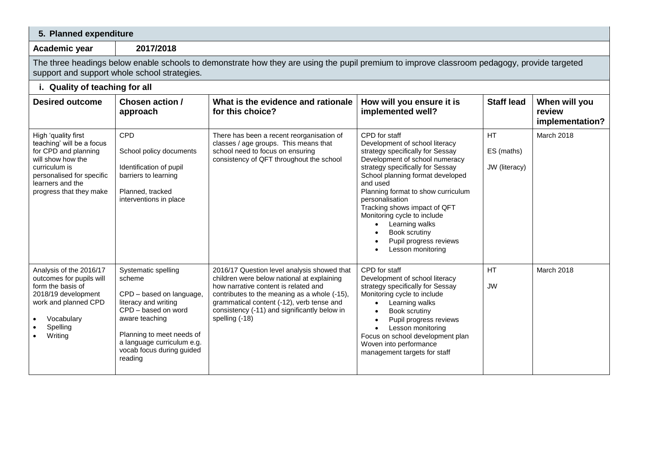| 5. Planned expenditure                                                                                                                                                                      |                                                                                                                                                                                                                               |                                                                                                                                                                                                                                                                                                  |                                                                                                                                                                                                                                                                                                                                                                                                                     |                                   |                                            |
|---------------------------------------------------------------------------------------------------------------------------------------------------------------------------------------------|-------------------------------------------------------------------------------------------------------------------------------------------------------------------------------------------------------------------------------|--------------------------------------------------------------------------------------------------------------------------------------------------------------------------------------------------------------------------------------------------------------------------------------------------|---------------------------------------------------------------------------------------------------------------------------------------------------------------------------------------------------------------------------------------------------------------------------------------------------------------------------------------------------------------------------------------------------------------------|-----------------------------------|--------------------------------------------|
| Academic year                                                                                                                                                                               | 2017/2018                                                                                                                                                                                                                     |                                                                                                                                                                                                                                                                                                  |                                                                                                                                                                                                                                                                                                                                                                                                                     |                                   |                                            |
| The three headings below enable schools to demonstrate how they are using the pupil premium to improve classroom pedagogy, provide targeted<br>support and support whole school strategies. |                                                                                                                                                                                                                               |                                                                                                                                                                                                                                                                                                  |                                                                                                                                                                                                                                                                                                                                                                                                                     |                                   |                                            |
| i. Quality of teaching for all                                                                                                                                                              |                                                                                                                                                                                                                               |                                                                                                                                                                                                                                                                                                  |                                                                                                                                                                                                                                                                                                                                                                                                                     |                                   |                                            |
| <b>Desired outcome</b>                                                                                                                                                                      | Chosen action /<br>approach                                                                                                                                                                                                   | What is the evidence and rationale<br>for this choice?                                                                                                                                                                                                                                           | How will you ensure it is<br>implemented well?                                                                                                                                                                                                                                                                                                                                                                      | <b>Staff lead</b>                 | When will you<br>review<br>implementation? |
| High 'quality first<br>teaching' will be a focus<br>for CPD and planning<br>will show how the<br>curriculum is<br>personalised for specific<br>learners and the<br>progress that they make  | <b>CPD</b><br>School policy documents<br>Identification of pupil<br>barriers to learning<br>Planned, tracked<br>interventions in place                                                                                        | There has been a recent reorganisation of<br>classes / age groups. This means that<br>school need to focus on ensuring<br>consistency of QFT throughout the school                                                                                                                               | CPD for staff<br>Development of school literacy<br>strategy specifically for Sessay<br>Development of school numeracy<br>strategy specifically for Sessay<br>School planning format developed<br>and used<br>Planning format to show curriculum<br>personalisation<br>Tracking shows impact of QFT<br>Monitoring cycle to include<br>Learning walks<br>Book scrutiny<br>Pupil progress reviews<br>Lesson monitoring | HT<br>ES (maths)<br>JW (literacy) | March 2018                                 |
| Analysis of the 2016/17<br>outcomes for pupils will<br>form the basis of<br>2018/19 development<br>work and planned CPD<br>Vocabulary<br>Spelling<br>Writing                                | Systematic spelling<br>scheme<br>CPD - based on language,<br>literacy and writing<br>CPD - based on word<br>aware teaching<br>Planning to meet needs of<br>a language curriculum e.g.<br>vocab focus during guided<br>reading | 2016/17 Question level analysis showed that<br>children were below national at explaining<br>how narrative content is related and<br>contributes to the meaning as a whole (-15),<br>grammatical content (-12), verb tense and<br>consistency (-11) and significantly below in<br>spelling (-18) | CPD for staff<br>Development of school literacy<br>strategy specifically for Sessay<br>Monitoring cycle to include<br>Learning walks<br>$\bullet$<br>Book scrutiny<br>$\bullet$<br>Pupil progress reviews<br>$\bullet$<br>Lesson monitoring<br>Focus on school development plan<br>Woven into performance<br>management targets for staff                                                                           | <b>HT</b><br><b>JW</b>            | <b>March 2018</b>                          |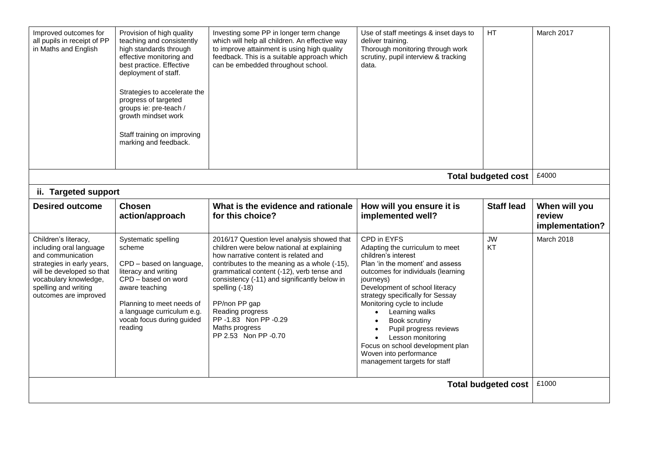| Improved outcomes for<br>all pupils in receipt of PP<br>in Maths and English                                                                                                                              | Provision of high quality<br>teaching and consistently<br>high standards through<br>effective monitoring and<br>best practice. Effective<br>deployment of staff.<br>Strategies to accelerate the<br>progress of targeted<br>groups ie: pre-teach /<br>growth mindset work<br>Staff training on improving<br>marking and feedback. | Investing some PP in longer term change<br>which will help all children. An effective way<br>to improve attainment is using high quality<br>feedback. This is a suitable approach which<br>can be embedded throughout school.                                                                                                                                                                          | Use of staff meetings & inset days to<br>deliver training.<br>Thorough monitoring through work<br>scrutiny, pupil interview & tracking<br>data.                                                                                                                                                                                                                                                                                                                            | HT                         | March 2017                                 |
|-----------------------------------------------------------------------------------------------------------------------------------------------------------------------------------------------------------|-----------------------------------------------------------------------------------------------------------------------------------------------------------------------------------------------------------------------------------------------------------------------------------------------------------------------------------|--------------------------------------------------------------------------------------------------------------------------------------------------------------------------------------------------------------------------------------------------------------------------------------------------------------------------------------------------------------------------------------------------------|----------------------------------------------------------------------------------------------------------------------------------------------------------------------------------------------------------------------------------------------------------------------------------------------------------------------------------------------------------------------------------------------------------------------------------------------------------------------------|----------------------------|--------------------------------------------|
|                                                                                                                                                                                                           |                                                                                                                                                                                                                                                                                                                                   |                                                                                                                                                                                                                                                                                                                                                                                                        |                                                                                                                                                                                                                                                                                                                                                                                                                                                                            | <b>Total budgeted cost</b> | £4000                                      |
| ii. Targeted support                                                                                                                                                                                      |                                                                                                                                                                                                                                                                                                                                   |                                                                                                                                                                                                                                                                                                                                                                                                        |                                                                                                                                                                                                                                                                                                                                                                                                                                                                            |                            |                                            |
| <b>Desired outcome</b>                                                                                                                                                                                    | <b>Chosen</b><br>action/approach                                                                                                                                                                                                                                                                                                  | What is the evidence and rationale<br>for this choice?                                                                                                                                                                                                                                                                                                                                                 | How will you ensure it is<br>implemented well?                                                                                                                                                                                                                                                                                                                                                                                                                             | <b>Staff lead</b>          | When will you<br>review<br>implementation? |
| Children's literacy,<br>including oral language<br>and communication<br>strategies in early years,<br>will be developed so that<br>vocabulary knowledge,<br>spelling and writing<br>outcomes are improved | Systematic spelling<br>scheme<br>CPD - based on language,<br>literacy and writing<br>CPD - based on word<br>aware teaching<br>Planning to meet needs of<br>a language curriculum e.g.<br>vocab focus during guided<br>reading                                                                                                     | 2016/17 Question level analysis showed that<br>children were below national at explaining<br>how narrative content is related and<br>contributes to the meaning as a whole (-15),<br>grammatical content (-12), verb tense and<br>consistency (-11) and significantly below in<br>spelling (-18)<br>PP/non PP gap<br>Reading progress<br>PP-1.83 Non PP-0.29<br>Maths progress<br>PP 2.53 Non PP -0.70 | CPD in EYFS<br>Adapting the curriculum to meet<br>children's interest<br>Plan 'in the moment' and assess<br>outcomes for individuals (learning<br>journeys)<br>Development of school literacy<br>strategy specifically for Sessay<br>Monitoring cycle to include<br>Learning walks<br>$\bullet$<br>Book scrutiny<br>$\bullet$<br>Pupil progress reviews<br>Lesson monitoring<br>Focus on school development plan<br>Woven into performance<br>management targets for staff | <b>JW</b><br>KT            | March 2018                                 |
| <b>Total budgeted cost</b>                                                                                                                                                                                |                                                                                                                                                                                                                                                                                                                                   |                                                                                                                                                                                                                                                                                                                                                                                                        |                                                                                                                                                                                                                                                                                                                                                                                                                                                                            |                            | £1000                                      |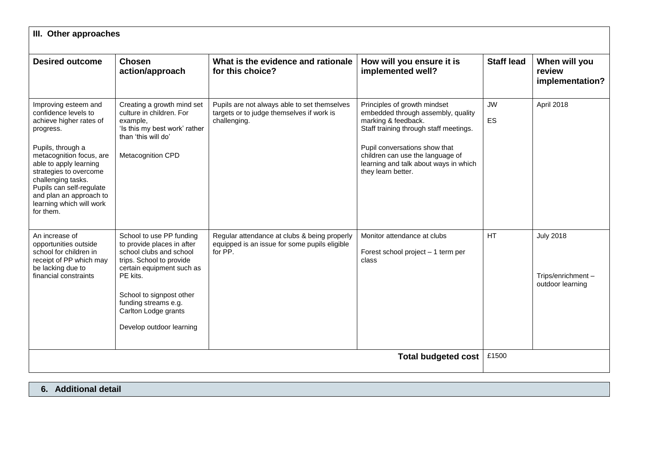| III. Other approaches                                                                                                                                                                                                                                                                                           |                                                                                                                                                                                                                                                                |                                                                                                           |                                                                                                                                                                                                                                                                         |                   |                                                           |  |  |
|-----------------------------------------------------------------------------------------------------------------------------------------------------------------------------------------------------------------------------------------------------------------------------------------------------------------|----------------------------------------------------------------------------------------------------------------------------------------------------------------------------------------------------------------------------------------------------------------|-----------------------------------------------------------------------------------------------------------|-------------------------------------------------------------------------------------------------------------------------------------------------------------------------------------------------------------------------------------------------------------------------|-------------------|-----------------------------------------------------------|--|--|
| <b>Desired outcome</b>                                                                                                                                                                                                                                                                                          | Chosen<br>action/approach                                                                                                                                                                                                                                      | What is the evidence and rationale<br>for this choice?                                                    | How will you ensure it is<br>implemented well?                                                                                                                                                                                                                          | <b>Staff lead</b> | When will you<br>review<br>implementation?                |  |  |
| Improving esteem and<br>confidence levels to<br>achieve higher rates of<br>progress.<br>Pupils, through a<br>metacognition focus, are<br>able to apply learning<br>strategies to overcome<br>challenging tasks.<br>Pupils can self-regulate<br>and plan an approach to<br>learning which will work<br>for them. | Creating a growth mind set<br>culture in children. For<br>example,<br>'Is this my best work' rather<br>than 'this will do'<br>Metacognition CPD                                                                                                                | Pupils are not always able to set themselves<br>targets or to judge themselves if work is<br>challenging. | Principles of growth mindset<br>embedded through assembly, quality<br>marking & feedback.<br>Staff training through staff meetings.<br>Pupil conversations show that<br>children can use the language of<br>learning and talk about ways in which<br>they learn better. | <b>JW</b><br>ES   | April 2018                                                |  |  |
| An increase of<br>opportunities outside<br>school for children in<br>receipt of PP which may<br>be lacking due to<br>financial constraints                                                                                                                                                                      | School to use PP funding<br>to provide places in after<br>school clubs and school<br>trips. School to provide<br>certain equipment such as<br>PE kits.<br>School to signpost other<br>funding streams e.g.<br>Carlton Lodge grants<br>Develop outdoor learning | Regular attendance at clubs & being properly<br>equipped is an issue for some pupils eligible<br>for PP.  | Monitor attendance at clubs<br>Forest school project - 1 term per<br>class                                                                                                                                                                                              | <b>HT</b>         | <b>July 2018</b><br>Trips/enrichment-<br>outdoor learning |  |  |
| <b>Total budgeted cost</b>                                                                                                                                                                                                                                                                                      |                                                                                                                                                                                                                                                                |                                                                                                           |                                                                                                                                                                                                                                                                         |                   |                                                           |  |  |

**6. Additional detail**